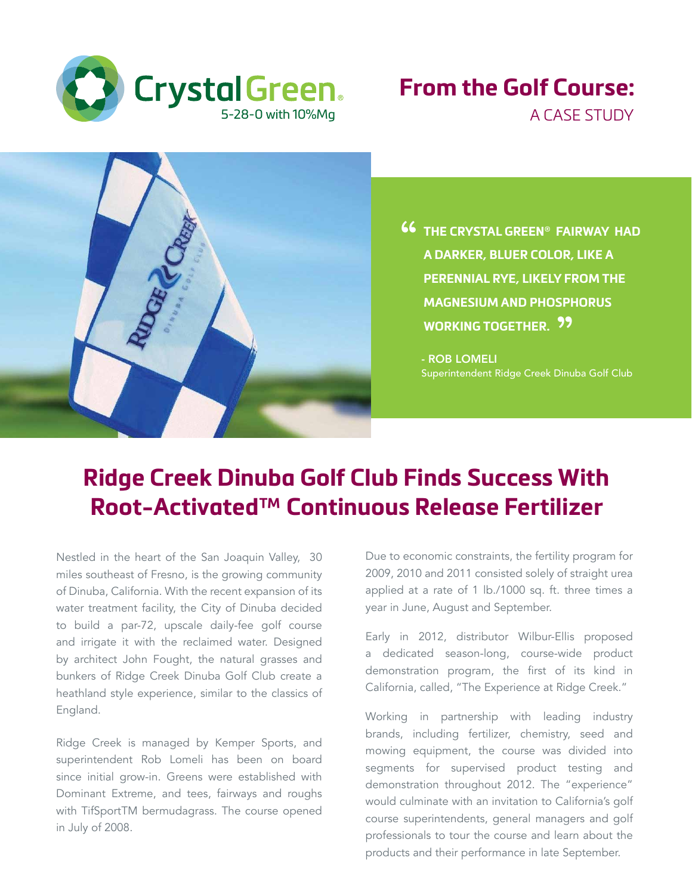

## **From the Golf Course:** A CASE STUDY



**46** THE CRYSTAL GREEN® FAIRWAY HAD<br>A DARKER, BLUER COLOR, LIKE A **A DARKER, BLUER COLOR, LIKE A PERENNIAL RYE, LIKELY FROM THE MAGNESIUM AND PHOSPHORUS**  WORKING TOGETHER. <mark>??</mark>

- ROB LOMELI Superintendent Ridge Creek Dinuba Golf Club

# **Ridge Creek Dinuba Golf Club Finds Success With Root-Activated™ Continuous Release Fertilizer**

Nestled in the heart of the San Joaquin Valley, 30 miles southeast of Fresno, is the growing community of Dinuba, California. With the recent expansion of its water treatment facility, the City of Dinuba decided to build a par-72, upscale daily-fee golf course and irrigate it with the reclaimed water. Designed by architect John Fought, the natural grasses and bunkers of Ridge Creek Dinuba Golf Club create a heathland style experience, similar to the classics of England.

Ridge Creek is managed by Kemper Sports, and superintendent Rob Lomeli has been on board since initial grow-in. Greens were established with Dominant Extreme, and tees, fairways and roughs with TifSportTM bermudagrass. The course opened in July of 2008.

Due to economic constraints, the fertility program for 2009, 2010 and 2011 consisted solely of straight urea applied at a rate of 1 lb./1000 sq. ft. three times a year in June, August and September.

Early in 2012, distributor Wilbur-Ellis proposed a dedicated season-long, course-wide product demonstration program, the first of its kind in California, called, "The Experience at Ridge Creek."

Working in partnership with leading industry brands, including fertilizer, chemistry, seed and mowing equipment, the course was divided into segments for supervised product testing and demonstration throughout 2012. The "experience" would culminate with an invitation to California's golf course superintendents, general managers and golf professionals to tour the course and learn about the products and their performance in late September.